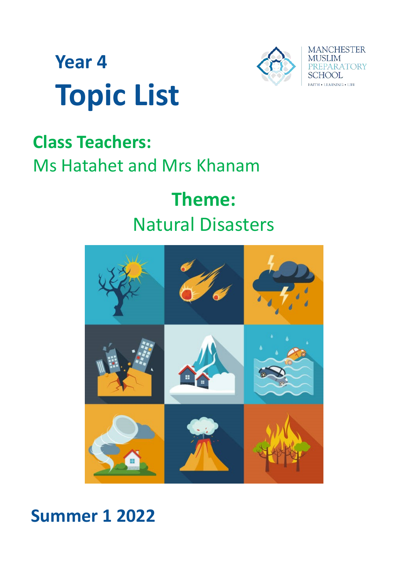



# **Class Teachers:**  Ms Hatahet and Mrs Khanam

# **Theme:** Natural Disasters



# **Summer 1 2022**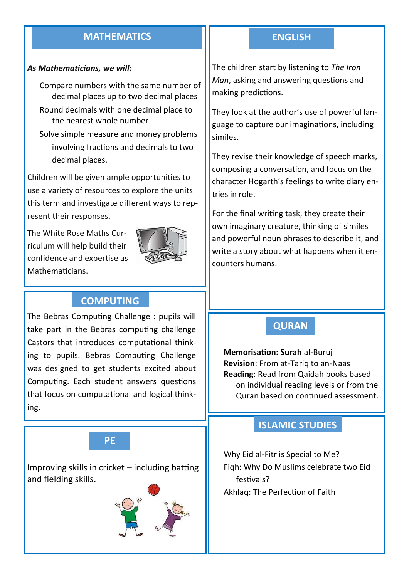### **MATHEMATICS ENGLISH**

#### *As Mathematicians, we will:*

Compare numbers with the same number of decimal places up to two decimal places Round decimals with one decimal place to the nearest whole number

Solve simple measure and money problems involving fractions and decimals to two decimal places.

Children will be given ample opportunities to use a variety of resources to explore the units this term and investigate different ways to represent their responses.

The White Rose Maths Curriculum will help build their confidence and expertise as Mathematicians.



## **COMPUTING**

The Bebras Computing Challenge : pupils will take part in the Bebras computing challenge Castors that introduces computational thinking to pupils. Bebras Computing Challenge was designed to get students excited about Computing. Each student answers questions that focus on computational and logical thinking.



Improving skills in cricket – including batting and fielding skills.



The children start by listening to *The Iron Man*, asking and answering questions and making predictions.

They look at the author's use of powerful language to capture our imaginations, including similes.

They revise their knowledge of speech marks, composing a conversation, and focus on the character Hogarth's feelings to write diary entries in role.

For the final writing task, they create their own imaginary creature, thinking of similes and powerful noun phrases to describe it, and write a story about what happens when it encounters humans.

#### **QURAN**

**Memorisation: Surah** al-Buruj **Revision**: From at-Tariq to an-Naas **Reading**: Read from Qaidah books based on individual reading levels or from the Quran based on continued assessment.

#### **ISLAMIC STUDIES**

Why Eid al-Fitr is Special to Me? Fiqh: Why Do Muslims celebrate two Eid festivals? Akhlaq: The Perfection of Faith